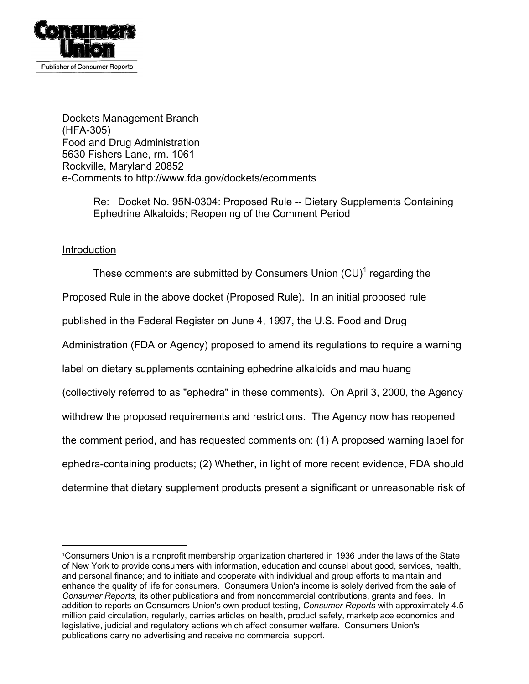

Dockets Management Branch (HFA-305) Food and Drug Administration 5630 Fishers Lane, rm. 1061 Rockville, Maryland 20852 e-Comments to http://www.fda.gov/dockets/ecomments

> Re: Docket No. 95N-0304: Proposed Rule -- Dietary Supplements Containing Ephedrine Alkaloids; Reopening of the Comment Period

# Introduction

 $\overline{a}$ 

These comments are submitted by Consumers Union  $\text{(CU)}^1$  $\text{(CU)}^1$  regarding the Proposed Rule in the above docket (Proposed Rule). In an initial proposed rule published in the Federal Register on June 4, 1997, the U.S. Food and Drug Administration (FDA or Agency) proposed to amend its regulations to require a warning label on dietary supplements containing ephedrine alkaloids and mau huang (collectively referred to as "ephedra" in these comments). On April 3, 2000, the Agency withdrew the proposed requirements and restrictions. The Agency now has reopened the comment period, and has requested comments on: (1) A proposed warning label for ephedra-containing products; (2) Whether, in light of more recent evidence, FDA should determine that dietary supplement products present a significant or unreasonable risk of

<span id="page-0-0"></span><sup>1</sup>Consumers Union is a nonprofit membership organization chartered in 1936 under the laws of the State of New York to provide consumers with information, education and counsel about good, services, health, and personal finance; and to initiate and cooperate with individual and group efforts to maintain and enhance the quality of life for consumers. Consumers Union's income is solely derived from the sale of *Consumer Reports*, its other publications and from noncommercial contributions, grants and fees. In addition to reports on Consumers Union's own product testing, *Consumer Reports* with approximately 4.5 million paid circulation, regularly, carries articles on health, product safety, marketplace economics and legislative, judicial and regulatory actions which affect consumer welfare. Consumers Union's publications carry no advertising and receive no commercial support.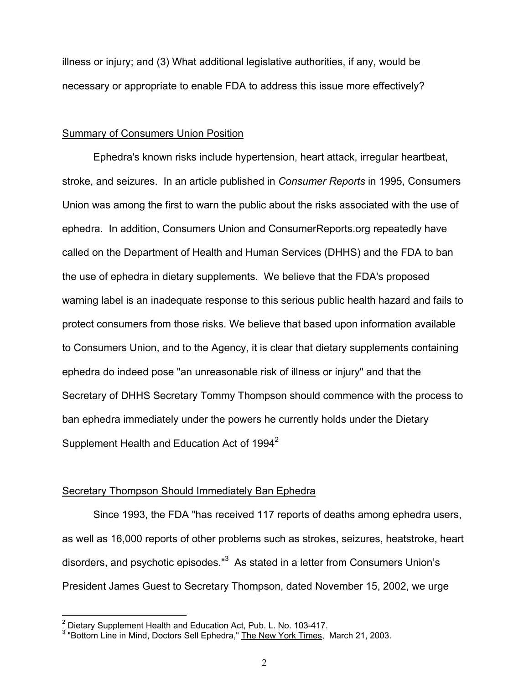illness or injury; and (3) What additional legislative authorities, if any, would be necessary or appropriate to enable FDA to address this issue more effectively?

### Summary of Consumers Union Position

Ephedra's known risks include hypertension, heart attack, irregular heartbeat, stroke, and seizures. In an article published in *Consumer Reports* in 1995, Consumers Union was among the first to warn the public about the risks associated with the use of ephedra. In addition, Consumers Union and ConsumerReports.org repeatedly have called on the Department of Health and Human Services (DHHS) and the FDA to ban the use of ephedra in dietary supplements. We believe that the FDA's proposed warning label is an inadequate response to this serious public health hazard and fails to protect consumers from those risks. We believe that based upon information available to Consumers Union, and to the Agency, it is clear that dietary supplements containing ephedra do indeed pose "an unreasonable risk of illness or injury" and that the Secretary of DHHS Secretary Tommy Thompson should commence with the process to ban ephedra immediately under the powers he currently holds under the Dietary Supplement Health and Education Act of  $1994^2$ 

# Secretary Thompson Should Immediately Ban Ephedra

Since 1993, the FDA "has received 117 reports of deaths among ephedra users, as well as 16,000 reports of other problems such as strokes, seizures, heatstroke, heart disorders, and psychotic episodes."<sup>3</sup> As stated in a letter from Consumers Union's President James Guest to Secretary Thompson, dated November 15, 2002, we urge

 $\overline{a}$ 

<span id="page-1-0"></span> $2$  Dietary Supplement Health and Education Act, Pub. L. No. 103-417.

<span id="page-1-1"></span><sup>&</sup>lt;sup>3</sup> "Bottom Line in Mind, Doctors Sell Ephedra," The New York Times, March 21, 2003.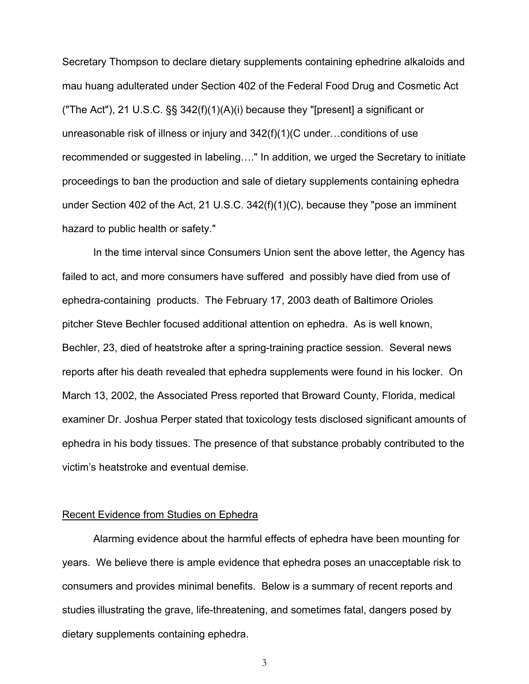Secretary Thompson to declare dietary supplements containing ephedrine alkaloids and mau huang adulterated under Section 402 of the Federal Food Drug and Cosmetic Act ("The Act"), 21 U.S.C. §§ 342(f)(1)(A)(i) because they "[present] a significant or unreasonable risk of illness or injury and 342(f)(1)(C under…conditions of use recommended or suggested in labeling…." In addition, we urged the Secretary to initiate proceedings to ban the production and sale of dietary supplements containing ephedra under Section 402 of the Act, 21 U.S.C. 342(f)(1)(C), because they "pose an imminent hazard to public health or safety."

In the time interval since Consumers Union sent the above letter, the Agency has failed to act, and more consumers have suffered and possibly have died from use of ephedra-containing products. The February 17, 2003 death of Baltimore Orioles pitcher Steve Bechler focused additional attention on ephedra. As is well known, Bechler, 23, died of heatstroke after a spring-training practice session. Several news reports after his death revealed that ephedra supplements were found in his locker. On March 13, 2002, the Associated Press reported that Broward County, Florida, medical examiner Dr. Joshua Perper stated that toxicology tests disclosed significant amounts of ephedra in his body tissues. The presence of that substance probably contributed to the victim's heatstroke and eventual demise.

## Recent Evidence from Studies on Ephedra

Alarming evidence about the harmful effects of ephedra have been mounting for years. We believe there is ample evidence that ephedra poses an unacceptable risk to consumers and provides minimal benefits. Below is a summary of recent reports and studies illustrating the grave, life-threatening, and sometimes fatal, dangers posed by dietary supplements containing ephedra.

3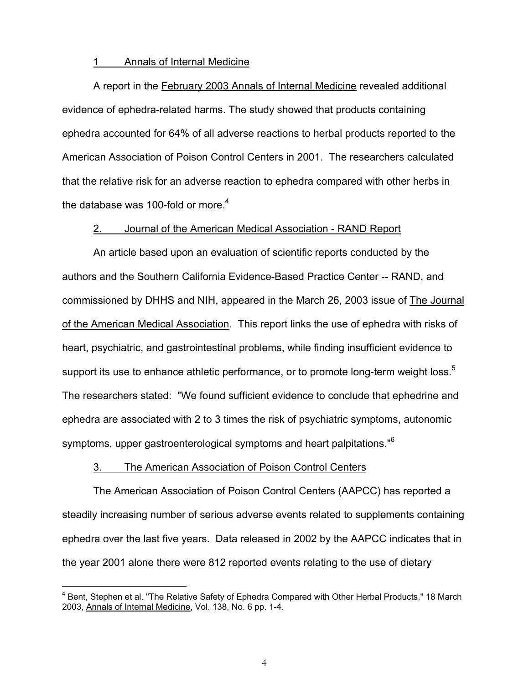#### 1 Annals of Internal Medicine

A report in the February 2003 Annals of Internal Medicine revealed additional evidence of ephedra-related harms. The study showed that products containing ephedra accounted for 64% of all adverse reactions to herbal products reported to the American Association of Poison Control Centers in 2001. The researchers calculated that the relative risk for an adverse reaction to ephedra compared with other herbs in the database was 100-fold or more.<sup>[4](#page-3-0)</sup>

## 2. Journal of the American Medical Association - RAND Report

An article based upon an evaluation of scientific reports conducted by the authors and the Southern California Evidence-Based Practice Center -- RAND, and commissioned by DHHS and NIH, appeared in the March 26, 2003 issue of The Journal of the American Medical Association. This report links the use of ephedra with risks of heart, psychiatric, and gastrointestinal problems, while finding insufficient evidence to support its use to enhance athletic performance, or to promote long-term weight loss.<sup>[5](#page-3-1)</sup> The researchers stated: "We found sufficient evidence to conclude that ephedrine and ephedra are associated with 2 to 3 times the risk of psychiatric symptoms, autonomic symptoms, upper gastroenterological symptoms and heart palpitations."<sup>[6](#page-3-2)</sup>

### 3. The American Association of Poison Control Centers

<span id="page-3-1"></span> $\overline{a}$ 

The American Association of Poison Control Centers (AAPCC) has reported a steadily increasing number of serious adverse events related to supplements containing ephedra over the last five years. Data released in 2002 by the AAPCC indicates that in the year 2001 alone there were 812 reported events relating to the use of dietary

<span id="page-3-2"></span><span id="page-3-0"></span><sup>4</sup> Bent, Stephen et al. "The Relative Safety of Ephedra Compared with Other Herbal Products," 18 March 2003, Annals of Internal Medicine, Vol. 138, No. 6 pp. 1-4.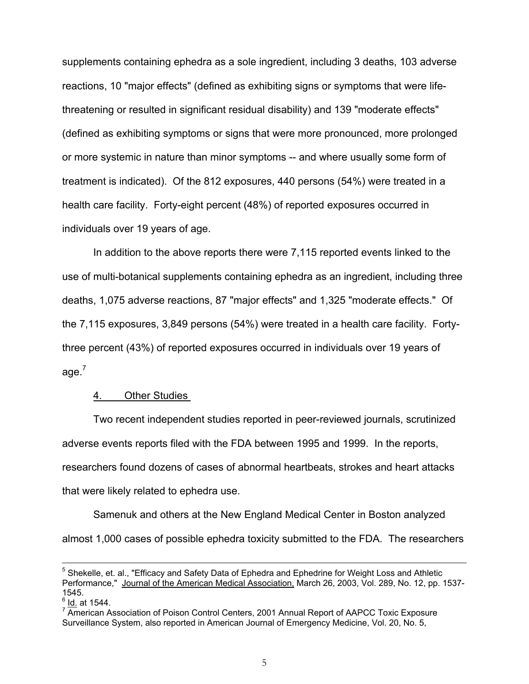<span id="page-4-0"></span>supplements containing ephedra as a sole ingredient, including 3 deaths, 103 adverse reactions, 10 "major effects" (defined as exhibiting signs or symptoms that were lifethreatening or resulted in significant residual disability) and 139 "moderate effects" (defined as exhibiting symptoms or signs that were more pronounced, more prolonged or more systemic in nature than minor symptoms -- and where usually some form of treatment is indicated). Of the 812 exposures, 440 persons (54%) were treated in a health care facility. Forty-eight percent (48%) of reported exposures occurred in individuals over 19 years of age.

In addition to the above reports there were 7,115 reported events linked to the use of multi-botanical supplements containing ephedra as an ingredient, including three deaths, 1,075 adverse reactions, 87 "major effects" and 1,325 "moderate effects." Of the 7,115 exposures, 3,849 persons (54%) were treated in a health care facility. Fortythree percent (43%) of reported exposures occurred in individuals over 19 years of age.<sup>[7](#page-4-0)</sup>

### 4. Other Studies

Two recent independent studies reported in peer-reviewed journals, scrutinized adverse events reports filed with the FDA between 1995 and 1999. In the reports, researchers found dozens of cases of abnormal heartbeats, strokes and heart attacks that were likely related to ephedra use.

Samenuk and others at the New England Medical Center in Boston analyzed almost 1,000 cases of possible ephedra toxicity submitted to the FDA. The researchers

<sup>&</sup>lt;sup>5</sup> Shekelle, et. al., "Efficacy and Safety Data of Ephedra and Ephedrine for Weight Loss and Athletic Performance," Journal of the American Medical Association, March 26, 2003, Vol. 289, No. 12, pp. 1537-1545.

 $<sup>6</sup>$  Id. at 1544.</sup>

 $7$  American Association of Poison Control Centers, 2001 Annual Report of AAPCC Toxic Exposure Surveillance System, also reported in American Journal of Emergency Medicine, Vol. 20, No. 5,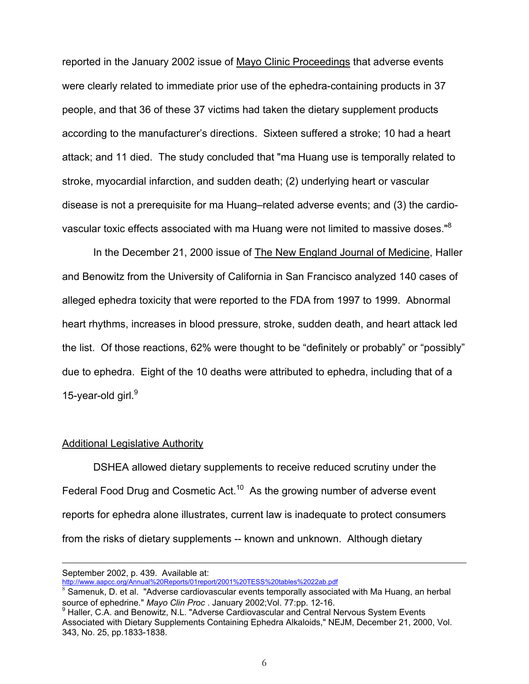reported in the January 2002 issue of Mayo Clinic Proceedings that adverse events were clearly related to immediate prior use of the ephedra-containing products in 37 people, and that 36 of these 37 victims had taken the dietary supplement products according to the manufacturer's directions. Sixteen suffered a stroke; 10 had a heart attack; and 11 died. The study concluded that "ma Huang use is temporally related to stroke, myocardial infarction, and sudden death; (2) underlying heart or vascular disease is not a prerequisite for ma Huang–related adverse events; and (3) the cardiovascular toxic effects associated with ma Huang were not limited to massive doses." $8$ 

In the December 21, 2000 issue of The New England Journal of Medicine, Haller and Benowitz from the University of California in San Francisco analyzed 140 cases of alleged ephedra toxicity that were reported to the FDA from 1997 to 1999. Abnormal heart rhythms, increases in blood pressure, stroke, sudden death, and heart attack led the list. Of those reactions, 62% were thought to be "definitely or probably" or "possibly" due to ephedra. Eight of the 10 deaths were attributed to ephedra, including that of a 15-year-old girl.<sup>[9](#page-5-1)</sup>

## Additional Legislative Authority

DSHEA allowed dietary supplements to receive reduced scrutiny under the Federal Food Drug and Cosmetic Act.<sup>10</sup> As the growing number of adverse event reports for ephedra alone illustrates, current law is inadequate to protect consumers from the risks of dietary supplements -- known and unknown. Although dietary

 $\overline{a}$ 

September 2002, p. 439. Available at:

<span id="page-5-2"></span>http://www.aapcc.org/Annual%20Reports/01report/2001%20TESS%20tables%2022ab.pdf

<span id="page-5-0"></span> $^8$  Samenuk, D. et al. "Adverse cardiovascular events temporally associated with Ma Huang, an herbal source of ephedrine." *Mayo Clin Proc* . January 2002;Vol. 77:pp. 12-16.<br><sup>9</sup> Haller, C.A. and Benowitz, N.L. "Adverse Cardiovascular and Central Nervous System Events

<span id="page-5-1"></span>Associated with Dietary Supplements Containing Ephedra Alkaloids," NEJM, December 21, 2000, Vol. 343, No. 25, pp.1833-1838.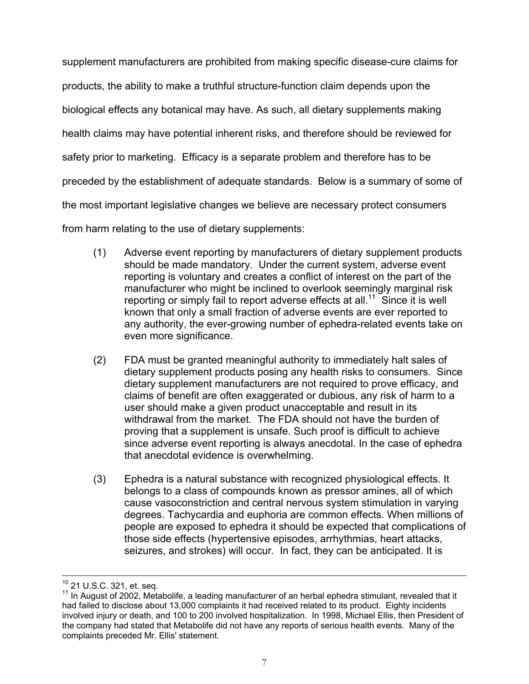supplement manufacturers are prohibited from making specific disease-cure claims for products, the ability to make a truthful structure-function claim depends upon the biological effects any botanical may have. As such, all dietary supplements making health claims may have potential inherent risks, and therefore should be reviewed for safety prior to marketing. Efficacy is a separate problem and therefore has to be preceded by the establishment of adequate standards. Below is a summary of some of the most important legislative changes we believe are necessary protect consumers from harm relating to the use of dietary supplements:

- (1) Adverse event reporting by manufacturers of dietary supplement products should be made mandatory. Under the current system, adverse event reporting is voluntary and creates a conflict of interest on the part of the manufacturer who might be inclined to overlook seemingly marginal risk reporting or simply fail to report adverse effects at all.<sup>11</sup> Since it is well known that only a small fraction of adverse events are ever reported to any authority, the ever-growing number of ephedra-related events take on even more significance.
- (2) FDA must be granted meaningful authority to immediately halt sales of dietary supplement products posing any health risks to consumers. Since dietary supplement manufacturers are not required to prove efficacy, and claims of benefit are often exaggerated or dubious, any risk of harm to a user should make a given product unacceptable and result in its withdrawal from the market. The FDA should not have the burden of proving that a supplement is unsafe. Such proof is difficult to achieve since adverse event reporting is always anecdotal. In the case of ephedra that anecdotal evidence is overwhelming.
- (3) Ephedra is a natural substance with recognized physiological effects. It belongs to a class of compounds known as pressor amines, all of which cause vasoconstriction and central nervous system stimulation in varying degrees. Tachycardia and euphoria are common effects. When millions of people are exposed to ephedra it should be expected that complications of those side effects (hypertensive episodes, arrhythmias, heart attacks, seizures, and strokes) will occur. In fact, they can be anticipated. It is

<span id="page-6-0"></span>

<sup>&</sup>lt;sup>10</sup> 21 U.S.C. 321, et. seq.<br><sup>11</sup> In August of 2002, Metabolife, a leading manufacturer of an herbal ephedra stimulant, revealed that it had failed to disclose about 13,000 complaints it had received related to its product. Eighty incidents involved injury or death, and 100 to 200 involved hospitalization. In 1998, Michael Ellis, then President of the company had stated that Metabolife did not have any reports of serious health events. Many of the complaints preceded Mr. Ellis' statement.